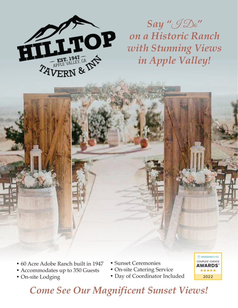

*Say "*I Do*" on a Historic Ranch with Stunning Views in Apple Valley!*

- 60 Acre Adobe Ranch built in 1947 60 Acre Adobe Ranch built in 1947
- Accommodates up to 350 Guests Accommodates up to 350 Guests
- On-site Lodging On-site Lodging
- Sunset Ceremonies Sunset Ceremonies
- On-site Catering Service On-site Catering Service
- Day of Coordinator Included Day of Coordinator Included



# **Come See Our Magnificent Sunset Views!**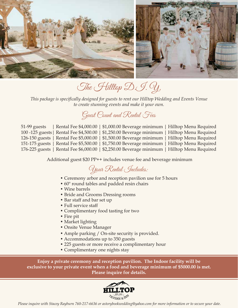

The Hilltop D.J. Y.

*This package is specifically designed for guests to rent our Hilltop Wedding and Events Venue to create stunning events and make it your own.*

## Guest Count and Rental Fees

| $51-99$ guests | Rental Fee \$4,000.00   \$1,000.00 Beverage minimum   Hilltop Menu Required                   |  |
|----------------|-----------------------------------------------------------------------------------------------|--|
|                | 100 -125 guests   Rental Fee \$4,500.00   \$1,250.00 Beverage minimum   Hilltop Menu Required |  |
|                | 126-150 guests   Rental Fee \$5,000.00   \$1,500.00 Beverage minimum   Hilltop Menu Required  |  |
|                | 151-175 guests   Rental Fee \$5,500.00   \$1,750.00 Beverage minimum   Hilltop Menu Required  |  |
|                | 176-225 guests   Rental Fee \$6,000.00   \$2,250.00 Beverage minimum   Hilltop Menu Required  |  |

Additional guest \$20 PP++ includes venue fee and beverage minimum

## Your Rental Includes:

- Ceremony arbor and reception pavilion use for 5 hours
- 60" round tables and padded resin chairs
- Wine barrels
- Bride and Grooms Dressing rooms
- Bar staff and bar set up
- Full service staff
- Complimentary food tasting for two
- Fire pit
- Market lighting
- Onsite Venue Manager
- Ample parking / On-site security is provided.
- Accommodations up to 350 guests
- 225 guests or more receive a complimentary hour
- Complimentary one nights stay

**Enjoy a private ceremony and reception pavilion. The Indoor facility will be exclusive to your private event when a food and beverage minimum of \$5000.00 is met. Please inquire for details.**

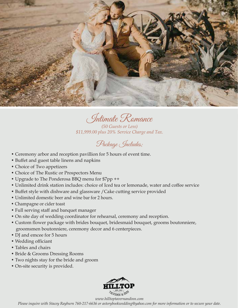

Intimate Romance

*(50 Guests or Less) \$11,999.00 plus 20% Service Charge and Tax.*

Package Includes;

- Ceremony arbor and reception pavillion for 5 hours of event time.
- Buffet and guest table linens and napkins
- Choice of Two appetizers
- Choice of The Rustic or Prospectors Menu
- Upgrade to The Ponderosa BBQ menu for \$7pp ++
- Unlimited drink station includes: choice of Iced tea or lemonade, water and coffee service
- Buffet style with dishware and glassware /Cake cutting service provided
- Unlimited domestic beer and wine bar for 2 hours.
- Champagne or cider toast
- Full serving staff and banquet manager
- On site day of wedding coordinator for rehearsal, ceremony and reception.
- Custom flower package with brides bouquet, bridesmaid bouquet, grooms boutonniere, groomsmen boutonniere, ceremony decor and 6 centerpieces.
- DJ and emcee for 5 hours
- Wedding officiant
- Tables and chairs
- Bride & Grooms Dressing Rooms
- Two nights stay for the bride and groom
- On-site security is provided.



*www.hilltoptavernandinn.com*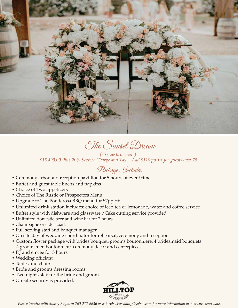

The Sunset Dream

*(75 guests or more) \$15,499.00 Plus 20% Service Charge and Tax.| Add \$110 pp ++ for guests over 75*

### Package Includes;

- Ceremony arbor and reception pavillion for 5 hours of event time.
- Buffet and guest table linens and napkins
- Choice of Two appetizers
- Choice of The Rustic or Prospectors Menu
- Upgrade to The Ponderosa BBQ menu for \$7pp ++
- Unlimited drink station includes: choice of Iced tea or lemonade, water and coffee service
- Buffet style with dishware and glassware /Cake cutting service provided
- Unlimited domestic beer and wine bar for 2 hours.
- Champagne or cider toast
- Full serving staff and banquet manager
- On site day of wedding coordinator for rehearsal, ceremony and reception.
- Custom flower package with brides bouquet, grooms boutonniere, 4 bridesmaid bouquets, 4 groomsmen boutonniere, ceremony decor and centerpieces.
- DJ and emcee for 5 hours
- Wedding officiant
- Tables and chairs
- Bride and grooms dressing rooms
- Two nights stay for the bride and groom.
- On-site security is provided.

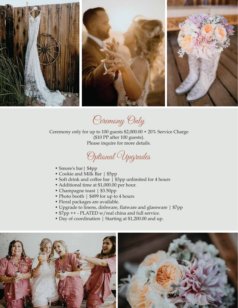

Ceremony Only

Ceremony only for up to 100 guests \$2,000.00 + 20% Service Charge (\$10 PP after 100 guests). Please inquire for more details.



- Smore's bar | \$4pp
- Cookie and Milk Bar | \$5pp
- Soft drink and coffee bar | \$3pp unlimited for 4 hours
- Additional time at \$1,000.00 per hour.
- Champagne toast | \$3.50pp
- Photo booth | \$499 for up to 4 hours
- Floral packages are available.
- Upgrade to linens, dishware, flatware and glassware | \$7pp
- \$7pp ++ PLATED w/real china and full service.
- Day of coordination | Starting at \$1,200.00 and up.

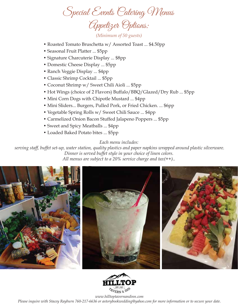Special Events Catering Menus Appetizer Options:

*(Minimum of 50 guests)*

- Roasted Tomato Bruschetta w/ Assorted Toast ... \$4.50pp
- Seasonal Fruit Platter ... \$5pp
- Signature Charcuterie Display ... \$8pp
- Domestic Cheese Display ... \$5pp
- Ranch Veggie Display ... \$4pp
- Classic Shrimp Cocktail ... \$5pp
- Coconut Shrimp w/ Sweet Chili Aioli ... \$5pp
- Hot Wings (choice of 2 Flavors) Buffalo/BBQ/Glazed/Dry Rub ... \$5pp
- Mini Corn Dogs with Chipotle Mustard ... \$4pp
- Mini Sliders... Burgers, Pulled Pork, or Fried Chicken. ... \$6pp
- Vegetable Spring Rolls w/ Sweet Chili Sauce ... \$4pp
- Carmelized Onion Bacon Stuffed Jalapeno Poppers ... \$5pp
- Sweet and Spicy Meatballs ... \$4pp
- Loaded Baked Potato bites ... \$5pp

#### *Each menu includes:*

 *serving staff, buffet set-up, water station, quality plastics and paper napkins wrapped around plastic silverware. Dinner is served buffet style in your choice of linen colors. All menus are subject to a 20% service charge and tax(++)..*





*www.hilltoptavernandinn.com*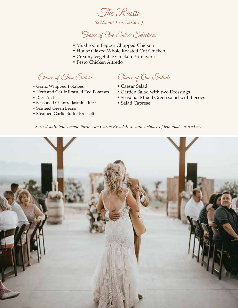

*\$22.95pp++ (A La Carte)*

Choice of One Entrée Selection:

- Mushroom Pepper Chopped Chicken
- House Glazed Whole Roasted Cut Chicken
- Creamy Vegetable Chicken Primavera
- Pesto Chicken Alfredo

Choice of Two Sides:

- Garlic Whipped Potatoes
- Herb and Garlic Roasted Red Potatoes
- Rice Pilaf
- Seasoned Cilantro Jasmine Rice
- Sauteed Green Beans
- Steamed Garlic Butter Broccoli

Choice of One Salad:

- Caesar Salad
- Garden Salad with two Dressings
- Seasonal Mixed Green salad with Berries
- Salad Caprese

*Served with housemade Parmesan Garlic Breadsticks and a choice of lemonade or iced tea.*

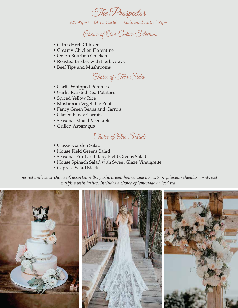

*\$25.95pp++ (A La Carte) | Additional Entreé \$5pp* 

Choice of One Entrée Selection:

- Citrus Herb Chicken
- Creamy Chicken Florentine
- Onion Bourbon Chicken
- Roasted Brisket with Herb Gravy
- Beef Tips and Mushrooms

Choice of Two Sides:

- Garlic Whipped Potatoes
- Garlic Roasted Red Potatoes
- Spiced Yellow Rice
- Mushroom Vegetable Pilaf
- Fancy Green Beans and Carrots
- Glazed Fancy Carrots
- Seasonal Mixed Vegetables
- Grilled Asparagus



- Classic Garden Salad
- House Field Greens Salad
- Seasonal Fruit and Baby Field Greens Salad
- House Spinach Salad with Sweet Glaze Vinaigrette
- Caprese Salad Stack

*Served with your choice of: assorted rolls, garlic bread, housemade biscuits or Jalapeno cheddar cornbread muffins with butter. Includes a choice of lemonade or iced tea.*

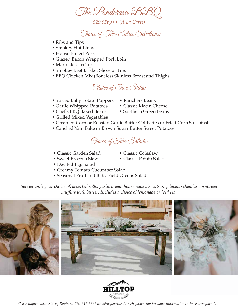The Panderosa BBC

*\$29.95pp++ (A La Carte)*

Choice of Two Entrée Selections:

- Ribs and Tips
- Smokey Hot Links
- House Pulled Pork
- Glazed Bacon Wrapped Pork Loin
- Marinated Tri Tip
- Smokey Beef Brisket Slices or Tips
- BBQ Chicken Mix (Boneless Skinless Breast and Thighs



- Spiced Baby Potato Poppers Ranchers Beans
- Garlic Whipped Potatoes Classic Mac n Cheese
- Chef's BBQ Baked Beans Southern Green Beans
- 
- 
- Grilled Mixed Vegetables
- Creamed Corn or Roasted Garlic Butter Cobbettes or Fried Corn Succotash
- Candied Yam Bake or Brown Sugar Butter Sweet Potatoes

Choice of Two Salads:

- Classic Garden Salad Classic Coleslaw
	-
- Sweet Broccoli Slaw Classic Potato Salad
- Deviled Egg Salad
- Creamy Tomato Cucumber Salad
- Seasonal Fruit and Baby Field Greens Salad

*Served with your choice of: assorted rolls, garlic bread, housemade biscuits or Jalapeno cheddar cornbread muffins with butter. Includes a choice of lemonade or iced tea.*





- 
-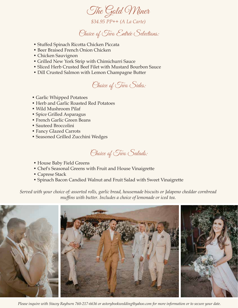

Choice of Two Entrée Selections:

- Stuffed Spinach Ricotta Chicken Piccata
- Beer Braised French Onion Chicken
- Chicken Sauvignon
- Grilled New York Strip with Chimichurri Sauce
- Sliced Herb Crusted Beef Filet with Mustard Bourbon Sauce
- Dill Crusted Salmon with Lemon Champagne Butter



- Garlic Whipped Potatoes
- Herb and Garlic Roasted Red Potatoes
- Wild Mushroom Pilaf
- Spice Grilled Asparagus
- French Garlic Green Beans
- Sauteed Broccolini
- Fancy Glazed Carrots
- Seasoned Grilled Zucchini Wedges

Choice of Two Salads:

- House Baby Field Greens
- Chef's Seasonal Greens with Fruit and House Vinaigrette
- Caprese Stack
- Spinach Bacon Candied Walnut and Fruit Salad with Sweet Vinaigrette

*Served with your choice of: assorted rolls, garlic bread, housemade biscuits or Jalapeno cheddar cornbread muffins with butter. Includes a choice of lemonade or iced tea.*